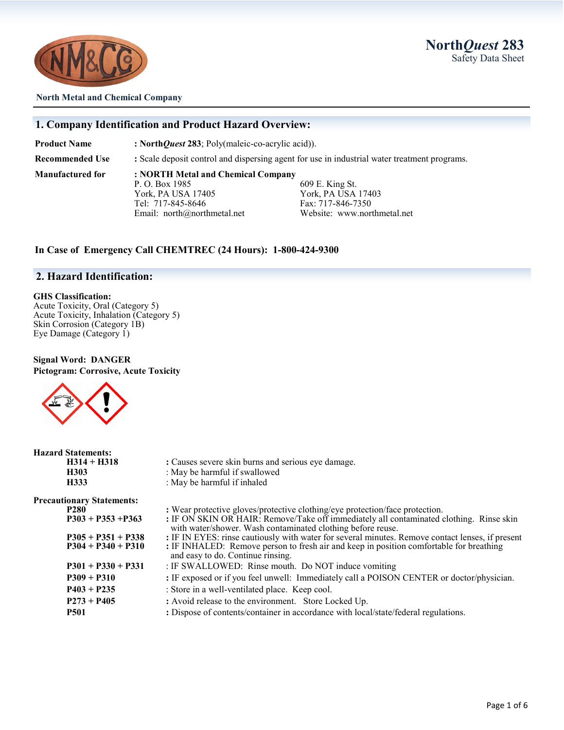



#### **North Metal and Chemical Company**

#### **1. Company Identification and Product Hazard Overview:**

**Product Name** : North*Quest* 283; Poly(maleic-co-acrylic acid)).

**Recommended Use :** Scale deposit control and dispersing agent for use in industrial water treatment programs.

**Manufactured for : NORTH Metal and Chemical Company** York, PA USA 17405 York, PA USA 17403 Tel: 717-845-8646 Fax: 717-846-7350 Email: north@northmetal.net Website: www.northmetal.net

**H333** : May be harmful if inhaled

609 E. King St.

#### **In Case of Emergency Call CHEMTREC (24 Hours): 1-800-424-9300**

#### **2. Hazard Identification:**

#### **GHS Classification:**

Acute Toxicity, Oral (Category 5) Acute Toxicity, Inhalation (Category 5) Skin Corrosion (Category 1B) Eye Damage (Category 1)

#### **Signal Word: DANGER Pictogram: Corrosive, Acute Toxicity**



**H314 + H318 :** Causes severe skin burns and serious eye damage. **H303** : May be harmful if swallowed<br> **H333** : May be harmful if inhaled

**Preca** 

| utionary Statements: |                                                                                                                                                        |
|----------------------|--------------------------------------------------------------------------------------------------------------------------------------------------------|
| <b>P280</b>          | : Wear protective gloves/protective clothing/eye protection/face protection.                                                                           |
| $P303 + P353 + P363$ | : IF ON SKIN OR HAIR: Remove/Take off immediately all contaminated clothing. Rinse skin<br>with water/shower. Wash contaminated clothing before reuse. |
| $P305 + P351 + P338$ | : IF IN EYES: rinse cautiously with water for several minutes. Remove contact lenses, if present                                                       |
| $P304 + P340 + P310$ | : IF INHALED: Remove person to fresh air and keep in position comfortable for breathing<br>and easy to do. Continue rinsing.                           |
| $P301 + P330 + P331$ | : IF SWALLOWED: Rinse mouth. Do NOT induce vomiting                                                                                                    |
| $P309 + P310$        | : IF exposed or if you feel unwell: Immediately call a POISON CENTER or doctor/physician.                                                              |
| $P403 + P235$        | : Store in a well-ventilated place. Keep cool.                                                                                                         |
| $P273 + P405$        | : Avoid release to the environment. Store Locked Up.                                                                                                   |
| <b>P501</b>          | : Dispose of contents/container in accordance with local/state/federal regulations.                                                                    |
|                      |                                                                                                                                                        |
|                      |                                                                                                                                                        |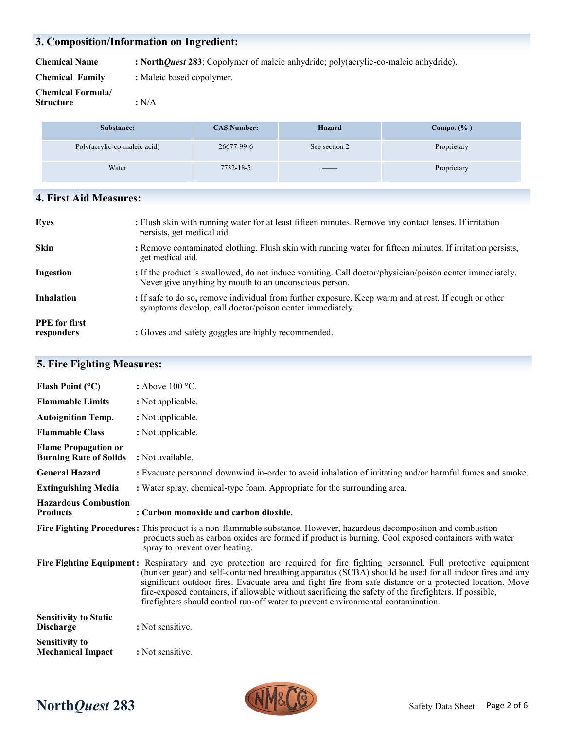## **3. Composition/Information on Ingredient:**

**Chemical Name : North***Quest* **283**; Copolymer of maleic anhydride; poly(acrylic-co-maleic anhydride).

| <b>Chemical Family</b> | : Maleic based copolymer. |
|------------------------|---------------------------|
|------------------------|---------------------------|

| <b>Chemical Formula</b> |       |
|-------------------------|-------|
| <b>Structure</b>        | : N/A |

**Substance: CAS Number: Hazard Compo. (% )** Poly(acrylic-co-maleic acid) 26677-99-6 See section 2 Proprietary Water 7732-18-5 —— Proprietary 7732-18-5

## **4. First Aid Measures:**

| <b>Eyes</b>                        | : Flush skin with running water for at least fifteen minutes. Remove any contact lenses. If irritation<br>persists, get medical aid.                              |
|------------------------------------|-------------------------------------------------------------------------------------------------------------------------------------------------------------------|
| <b>Skin</b>                        | : Remove contaminated clothing. Flush skin with running water for fifteen minutes. If irritation persists,<br>get medical aid.                                    |
| Ingestion                          | : If the product is swallowed, do not induce vomiting. Call doctor/physician/poison center immediately.<br>Never give anything by mouth to an unconscious person. |
| <b>Inhalation</b>                  | : If safe to do so, remove individual from further exposure. Keep warm and at rest. If cough or other<br>symptoms develop, call doctor/poison center immediately. |
| <b>PPE</b> for first<br>responders | : Gloves and safety goggles are highly recommended.                                                                                                               |

# **5. Fire Fighting Measures:**

| Flash Point $(^{\circ}C)$                                    | : Above $100^{\circ}$ C.                                                                                                                                                                                                                                                                                                                                                                                                                                                                                                                          |
|--------------------------------------------------------------|---------------------------------------------------------------------------------------------------------------------------------------------------------------------------------------------------------------------------------------------------------------------------------------------------------------------------------------------------------------------------------------------------------------------------------------------------------------------------------------------------------------------------------------------------|
| <b>Flammable Limits</b>                                      | : Not applicable.                                                                                                                                                                                                                                                                                                                                                                                                                                                                                                                                 |
| <b>Autoignition Temp.</b>                                    | : Not applicable.                                                                                                                                                                                                                                                                                                                                                                                                                                                                                                                                 |
| <b>Flammable Class</b>                                       | : Not applicable.                                                                                                                                                                                                                                                                                                                                                                                                                                                                                                                                 |
| <b>Flame Propagation or</b><br><b>Burning Rate of Solids</b> | : Not available.                                                                                                                                                                                                                                                                                                                                                                                                                                                                                                                                  |
| <b>General Hazard</b>                                        | : Evacuate personnel downwind in-order to avoid inhalation of irritating and/or harmful fumes and smoke.                                                                                                                                                                                                                                                                                                                                                                                                                                          |
| <b>Extinguishing Media</b>                                   | : Water spray, chemical-type foam. Appropriate for the surrounding area.                                                                                                                                                                                                                                                                                                                                                                                                                                                                          |
| <b>Hazardous Combustion</b><br><b>Products</b>               | : Carbon monoxide and carbon dioxide.                                                                                                                                                                                                                                                                                                                                                                                                                                                                                                             |
|                                                              | Fire Fighting Procedures: This product is a non-flammable substance. However, hazardous decomposition and combustion<br>products such as carbon oxides are formed if product is burning. Cool exposed containers with water<br>spray to prevent over heating.                                                                                                                                                                                                                                                                                     |
|                                                              | Fire Fighting Equipment: Respiratory and eye protection are required for fire fighting personnel. Full protective equipment<br>(bunker gear) and self-contained breathing apparatus (SCBA) should be used for all indoor fires and any<br>significant outdoor fires. Evacuate area and fight fire from safe distance or a protected location. Move<br>fire-exposed containers, if allowable without sacrificing the safety of the firefighters. If possible,<br>firefighters should control run-off water to prevent environmental contamination. |
| <b>Sensitivity to Static</b><br><b>Discharge</b>             | : Not sensitive.                                                                                                                                                                                                                                                                                                                                                                                                                                                                                                                                  |
| <b>Sensitivity to</b><br><b>Mechanical Impact</b>            | : Not sensitive.                                                                                                                                                                                                                                                                                                                                                                                                                                                                                                                                  |



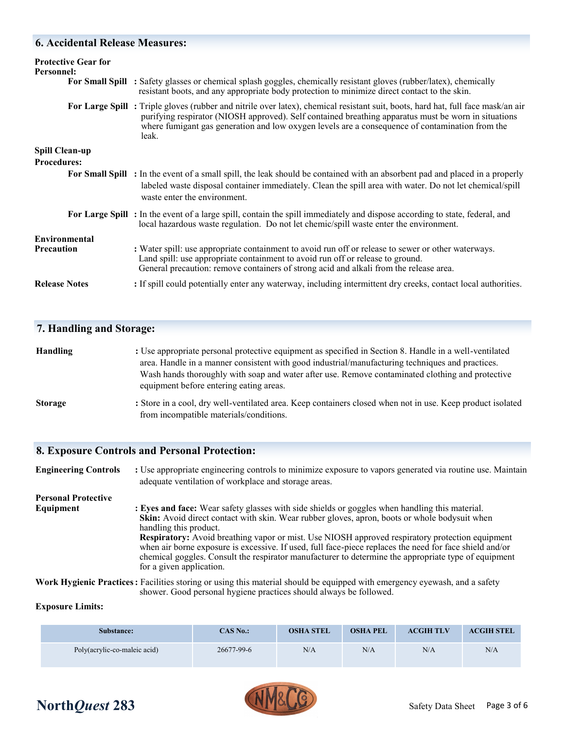#### **6. Accidental Release Measures:**

| <b>Protective Gear for</b><br>Personnel:    | For Small Spill : Safety glasses or chemical splash goggles, chemically resistant gloves (rubber/latex), chemically<br>resistant boots, and any appropriate body protection to minimize direct contact to the skin.                                                                                                                                 |
|---------------------------------------------|-----------------------------------------------------------------------------------------------------------------------------------------------------------------------------------------------------------------------------------------------------------------------------------------------------------------------------------------------------|
|                                             | For Large Spill: Triple gloves (rubber and nitrile over latex), chemical resistant suit, boots, hard hat, full face mask/an air<br>purifying respirator (NIOSH approved). Self contained breathing apparatus must be worn in situations<br>where fumigant gas generation and low oxygen levels are a consequence of contamination from the<br>leak. |
| <b>Spill Clean-up</b><br><b>Procedures:</b> |                                                                                                                                                                                                                                                                                                                                                     |
|                                             | For Small Spill : In the event of a small spill, the leak should be contained with an absorbent pad and placed in a properly<br>labeled waste disposal container immediately. Clean the spill area with water. Do not let chemical/spill<br>waste enter the environment.                                                                            |
|                                             | For Large Spill: In the event of a large spill, contain the spill immediately and dispose according to state, federal, and<br>local hazardous waste regulation. Do not let chemic/spill waste enter the environment.                                                                                                                                |
| Environmental<br><b>Precaution</b>          | : Water spill: use appropriate containment to avoid run off or release to sewer or other waterways.<br>Land spill: use appropriate containment to avoid run off or release to ground.<br>General precaution: remove containers of strong acid and alkali from the release area.                                                                     |
| <b>Release Notes</b>                        | : If spill could potentially enter any waterway, including intermittent dry creeks, contact local authorities.                                                                                                                                                                                                                                      |

#### **7. Handling and Storage:**

| <b>Handling</b>                                                                                  | : Use appropriate personal protective equipment as specified in Section 8. Handle in a well-ventilated |  |  |
|--------------------------------------------------------------------------------------------------|--------------------------------------------------------------------------------------------------------|--|--|
|                                                                                                  | area. Handle in a manner consistent with good industrial/manufacturing techniques and practices.       |  |  |
| Wash hands thoroughly with soap and water after use. Remove contaminated clothing and protective |                                                                                                        |  |  |
|                                                                                                  | equipment before entering eating areas.                                                                |  |  |
|                                                                                                  |                                                                                                        |  |  |

**Storage** : Store in a cool, dry well-ventilated area. Keep containers closed when not in use. Keep product isolated from incompatible materials/conditions.

#### **8. Exposure Controls and Personal Protection:**

**Engineering Controls** : Use appropriate engineering controls to minimize exposure to vapors generated via routine use. Maintain adequate ventilation of workplace and storage areas. **Personal Protective** 

**Equipment** : Eyes and face: Wear safety glasses with side shields or goggles when handling this material. **Skin:** Avoid direct contact with skin. Wear rubber gloves, apron, boots or whole bodysuit when handling this product. **Respiratory:** Avoid breathing vapor or mist. Use NIOSH approved respiratory protection equipment when air borne exposure is excessive. If used, full face-piece replaces the need for face shield and/or chemical goggles. Consult the respirator manufacturer to determine the appropriate type of equipment for a given application.

**Work Hygienic Practices:** Facilities storing or using this material should be equipped with emergency eyewash, and a safety shower. Good personal hygiene practices should always be followed.

#### **Exposure Limits:**

| <b>Substance:</b>            | CAS No.:   | <b>OSHA STEL</b> | <b>OSHA PEL</b> | <b>ACGIH TLV</b> | <b>ACGIH STEL</b> |
|------------------------------|------------|------------------|-----------------|------------------|-------------------|
| Poly(acrylic-co-maleic acid) | 26677-99-6 | N/A              | N/A             | N/A              | N/A               |

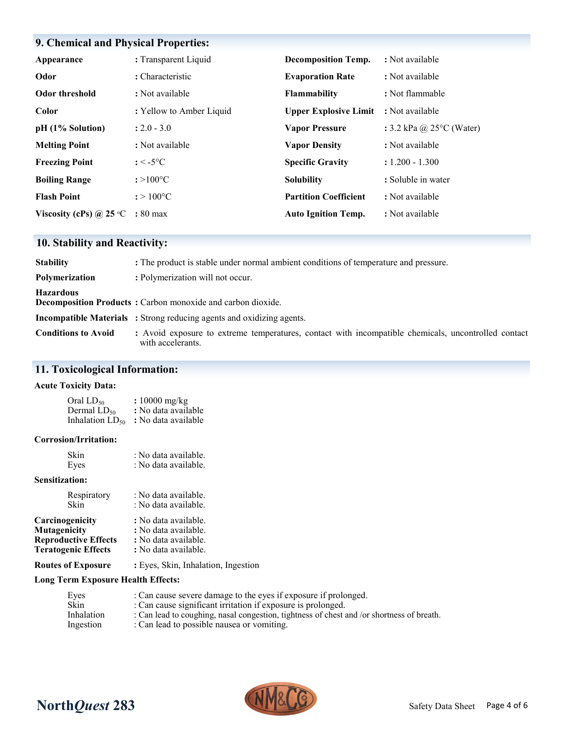# **9. Chemical and Physical Properties:**

| Appearance                       | : Transparent Liquid            | <b>Decomposition Temp.</b>   | : Not available                    |
|----------------------------------|---------------------------------|------------------------------|------------------------------------|
| Odor                             | : Characteristic                | <b>Evaporation Rate</b>      | : Not available                    |
| Odor threshold                   | : Not available                 | <b>Flammability</b>          | : Not flammable                    |
| Color                            | : Yellow to Amber Liquid        | <b>Upper Explosive Limit</b> | : Not available                    |
| pH (1% Solution)                 | $: 2.0 - 3.0$                   | <b>Vapor Pressure</b>        | : 3.2 kPa @ 25 $\degree$ C (Water) |
| <b>Melting Point</b>             | : Not available                 | <b>Vapor Density</b>         | : Not available                    |
| <b>Freezing Point</b>            | : $\le$ -5 $\mathrm{^{\circ}C}$ | <b>Specific Gravity</b>      | $: 1.200 - 1.300$                  |
| <b>Boiling Range</b>             | $: >100^{\circ}C$               | <b>Solubility</b>            | : Soluble in water                 |
| <b>Flash Point</b>               | $: > 100^{\circ}C$              | <b>Partition Coefficient</b> | : Not available                    |
| Viscosity (cPs) @ 25 $\degree$ C | $: 80 \text{ max}$              | <b>Auto Ignition Temp.</b>   | : Not available                    |

# **10. Stability and Reactivity:**

| <b>Stability</b>           | : The product is stable under normal ambient conditions of temperature and pressure.                                     |
|----------------------------|--------------------------------------------------------------------------------------------------------------------------|
| <b>Polymerization</b>      | : Polymerization will not occur.                                                                                         |
| <b>Hazardous</b>           | Decomposition Products: Carbon monoxide and carbon dioxide.                                                              |
|                            | <b>Incompatible Materials</b> : Strong reducing agents and oxidizing agents.                                             |
| <b>Conditions to Avoid</b> | : Avoid exposure to extreme temperatures, contact with incompatible chemicals, uncontrolled contact<br>with accelerants. |

# **11. Toxicological Information:**

#### **Acute Toxicity Data:**

| Oral LD <sub>50</sub> | : $10000$ mg/kg     |
|-----------------------|---------------------|
| Dermal $LD_{50}$      | : No data available |
| Inhalation $LD_{50}$  | : No data available |

#### **Corrosion/Irritation:**

| Skin | : No data available. |
|------|----------------------|
| Eyes | : No data available. |

#### **Sensitization:**

| Respiratory                 | : No data available. |
|-----------------------------|----------------------|
| <b>Skin</b>                 | : No data available. |
| Carcinogenicity             | : No data available. |
| Mutagenicity                | : No data available. |
| <b>Reproductive Effects</b> | : No data available. |
| <b>Teratogenic Effects</b>  | : No data available. |
|                             |                      |

**Routes of Exposure :** Eyes, Skin, Inhalation, Ingestion

#### **Long Term Exposure Health Effects:**

| : Can cause severe damage to the eyes if exposure if prolonged.                           |
|-------------------------------------------------------------------------------------------|
| : Can cause significant irritation if exposure is prolonged.                              |
| : Can lead to coughing, nasal congestion, tightness of chest and /or shortness of breath. |
| : Can lead to possible nausea or vomiting.                                                |
|                                                                                           |



# **North***Quest* 283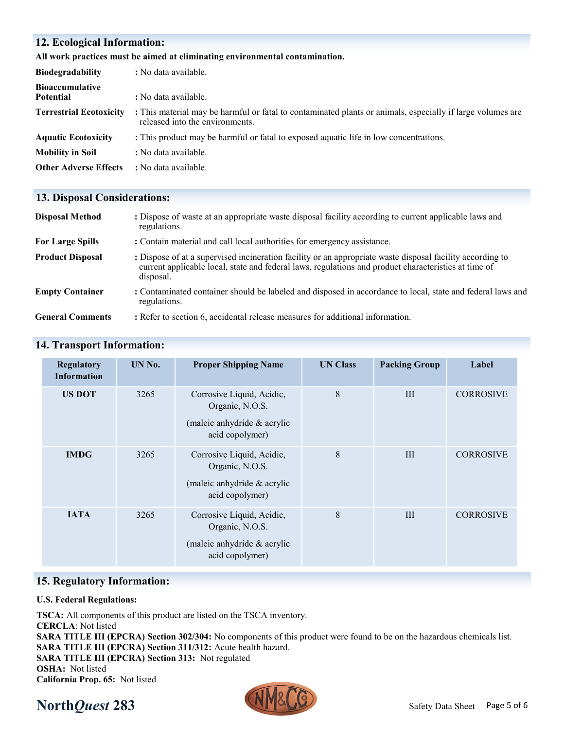### **12. Ecological Information:**

#### **All work practices must be aimed at eliminating environmental contamination.**

| <b>Biodegradability</b>                    | : No data available.                                                                                                                          |  |  |  |
|--------------------------------------------|-----------------------------------------------------------------------------------------------------------------------------------------------|--|--|--|
| <b>Bioaccumulative</b><br><b>Potential</b> | : No data available.                                                                                                                          |  |  |  |
| <b>Terrestrial Ecotoxicity</b>             | : This material may be harmful or fatal to contaminated plants or animals, especially if large volumes are<br>released into the environments. |  |  |  |
| <b>Aquatic Ecotoxicity</b>                 | : This product may be harmful or fatal to exposed aquatic life in low concentrations.                                                         |  |  |  |
| <b>Mobility in Soil</b>                    | : No data available.                                                                                                                          |  |  |  |
| <b>Other Adverse Effects</b>               | : No data available.                                                                                                                          |  |  |  |

#### **13. Disposal Considerations:**

| <b>Disposal Method</b>  | : Dispose of waste at an appropriate waste disposal facility according to current applicable laws and<br>regulations.                                                                                                          |
|-------------------------|--------------------------------------------------------------------------------------------------------------------------------------------------------------------------------------------------------------------------------|
| <b>For Large Spills</b> | : Contain material and call local authorities for emergency assistance.                                                                                                                                                        |
| <b>Product Disposal</b> | : Dispose of at a supervised incineration facility or an appropriate waste disposal facility according to<br>current applicable local, state and federal laws, regulations and product characteristics at time of<br>disposal. |
| <b>Empty Container</b>  | : Contaminated container should be labeled and disposed in accordance to local, state and federal laws and<br>regulations.                                                                                                     |
| <b>General Comments</b> | : Refer to section 6, accidental release measures for additional information.                                                                                                                                                  |

| <b>Regulatory</b><br><b>Information</b> | UN No. | <b>Proper Shipping Name</b>                                                                    | <b>UN Class</b> | <b>Packing Group</b> | Label            |
|-----------------------------------------|--------|------------------------------------------------------------------------------------------------|-----------------|----------------------|------------------|
| <b>US DOT</b>                           | 3265   | Corrosive Liquid, Acidic,<br>Organic, N.O.S.<br>(maleic anhydride & acrylic<br>acid copolymer) | 8               | III                  | <b>CORROSIVE</b> |
| <b>IMDG</b>                             | 3265   | Corrosive Liquid, Acidic,<br>Organic, N.O.S.<br>(maleic anhydride & acrylic<br>acid copolymer) | 8               | III                  | <b>CORROSIVE</b> |
| <b>IATA</b>                             | 3265   | Corrosive Liquid, Acidic,<br>Organic, N.O.S.<br>(maleic anhydride & acrylic<br>acid copolymer) | 8               | III                  | <b>CORROSIVE</b> |

## **14. Transport Information:**

#### **15. Regulatory Information:**

#### **U.S. Federal Regulations:**

**TSCA:** All components of this product are listed on the TSCA inventory. **CERCLA**: Not listed **SARA TITLE III (EPCRA) Section 302/304:** No components of this product were found to be on the hazardous chemicals list. **SARA TITLE III (EPCRA) Section 311/312:** Acute health hazard. **SARA TITLE III (EPCRA) Section 313:** Not regulated **OSHA:** Not listed **California Prop. 65:** Not listed

# **North***Quest* 283